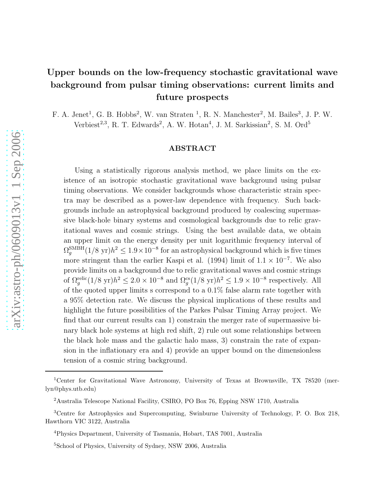# Upper bounds on the low-frequency stochastic gravitational wave background from pulsar timing observations: current limits and future prospects

F. A. Jenet<sup>1</sup>, G. B. Hobbs<sup>2</sup>, W. van Straten<sup>1</sup>, R. N. Manchester<sup>2</sup>, M. Bailes<sup>3</sup>, J. P. W. Verbiest<sup>2,3</sup>, R. T. Edwards<sup>2</sup>, A. W. Hotan<sup>4</sup>, J. M. Sarkissian<sup>2</sup>, S. M. Ord<sup>5</sup>

## ABSTRACT

Using a statistically rigorous analysis method, we place limits on the existence of an isotropic stochastic gravitational wave background using pulsar timing observations. We consider backgrounds whose characteristic strain spectra may be described as a power-law dependence with frequency. Such backgrounds include an astrophysical background produced by coalescing supermassive black-hole binary systems and cosmological backgrounds due to relic gravitational waves and cosmic strings. Using the best available data, we obtain an upper limit on the energy density per unit logarithmic frequency interval of  $\Omega_g^{\rm SMBH} (1/8 \text{ yr}) h^2 \leq 1.9 \times 10^{-8}$  for an astrophysical background which is five times more stringent than the earlier Kaspi et al. (1994) limit of  $1.1 \times 10^{-7}$ . We also provide limits on a background due to relic gravitational waves and cosmic strings of  $\Omega_g^{\text{relic}}(1/8 \text{ yr})h^2 \leq 2.0 \times 10^{-8}$  and  $\Omega_g^{\text{cs}}(1/8 \text{ yr})h^2 \leq 1.9 \times 10^{-8}$  respectively. All of the quoted upper limits s correspond to a 0.1% false alarm rate together with a 95% detection rate. We discuss the physical implications of these results and highlight the future possibilities of the Parkes Pulsar Timing Array project. We find that our current results can 1) constrain the merger rate of supermassive binary black hole systems at high red shift, 2) rule out some relationships between the black hole mass and the galactic halo mass, 3) constrain the rate of expansion in the inflationary era and 4) provide an upper bound on the dimensionless tension of a cosmic string background.

<sup>1</sup>Center for Gravitational Wave Astronomy, University of Texas at Brownsville, TX 78520 (merlyn@phys.utb.edu)

<sup>2</sup>Australia Telescope National Facility, CSIRO, PO Box 76, Epping NSW 1710, Australia

<sup>3</sup>Centre for Astrophysics and Supercomputing, Swinburne University of Technology, P. O. Box 218, Hawthorn VIC 3122, Australia

<sup>4</sup>Physics Department, University of Tasmania, Hobart, TAS 7001, Australia

<sup>5</sup>School of Physics, University of Sydney, NSW 2006, Australia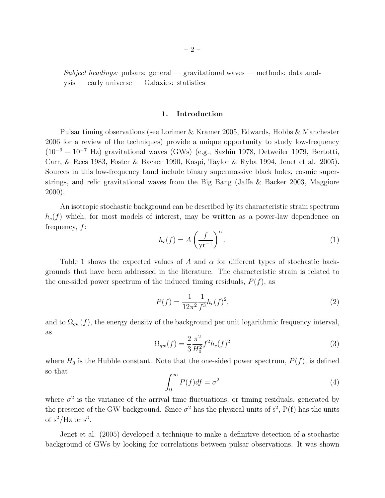Subject headings: pulsars: general — gravitational waves — methods: data analysis — early universe — Galaxies: statistics

## 1. Introduction

Pulsar timing observations (see Lorimer & Kramer 2005, Edwards, Hobbs & Manchester 2006 for a review of the techniques) provide a unique opportunity to study low-frequency (10<sup>−</sup><sup>9</sup> <sup>−</sup> <sup>10</sup><sup>−</sup><sup>7</sup> Hz) gravitational waves (GWs) (e.g., Sazhin 1978, Detweiler 1979, Bertotti, Carr, & Rees 1983, Foster & Backer 1990, Kaspi, Taylor & Ryba 1994, Jenet et al. 2005). Sources in this low-frequency band include binary supermassive black holes, cosmic superstrings, and relic gravitational waves from the Big Bang (Jaffe & Backer 2003, Maggiore 2000).

An isotropic stochastic background can be described by its characteristic strain spectrum  $h_c(f)$  which, for most models of interest, may be written as a power-law dependence on frequency, f:

$$
h_c(f) = A \left(\frac{f}{\mathbf{y}\mathbf{r}^{-1}}\right)^{\alpha}.
$$
 (1)

Table 1 shows the expected values of A and  $\alpha$  for different types of stochastic backgrounds that have been addressed in the literature. The characteristic strain is related to the one-sided power spectrum of the induced timing residuals,  $P(f)$ , as

$$
P(f) = \frac{1}{12\pi^2} \frac{1}{f^3} h_c(f)^2,
$$
\n(2)

and to  $\Omega_{gw}(f)$ , the energy density of the background per unit logarithmic frequency interval, as

$$
\Omega_{gw}(f) = \frac{2}{3} \frac{\pi^2}{H_0^2} f^2 h_c(f)^2 \tag{3}
$$

where  $H_0$  is the Hubble constant. Note that the one-sided power spectrum,  $P(f)$ , is defined so that

$$
\int_0^\infty P(f)df = \sigma^2 \tag{4}
$$

where  $\sigma^2$  is the variance of the arrival time fluctuations, or timing residuals, generated by the presence of the GW background. Since  $\sigma^2$  has the physical units of  $s^2$ ,  $P(f)$  has the units of  $s^2$ /Hz or  $s^3$ .

Jenet et al. (2005) developed a technique to make a definitive detection of a stochastic background of GWs by looking for correlations between pulsar observations. It was shown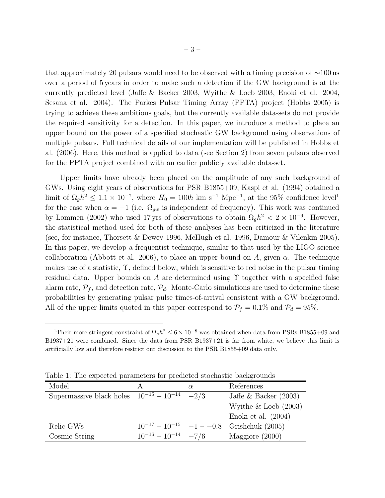that approximately 20 pulsars would need to be observed with a timing precision of ∼100 ns over a period of 5 years in order to make such a detection if the GW background is at the currently predicted level (Jaffe & Backer 2003, Wyithe & Loeb 2003, Enoki et al. 2004, Sesana et al. 2004). The Parkes Pulsar Timing Array (PPTA) project (Hobbs 2005) is trying to achieve these ambitious goals, but the currently available data-sets do not provide the required sensitivity for a detection. In this paper, we introduce a method to place an upper bound on the power of a specified stochastic GW background using observations of multiple pulsars. Full technical details of our implementation will be published in Hobbs et al. (2006). Here, this method is applied to data (see Section 2) from seven pulsars observed for the PPTA project combined with an earlier publicly available data-set.

Upper limits have already been placed on the amplitude of any such background of GWs. Using eight years of observations for PSR B1855+09, Kaspi et al. (1994) obtained a limit of  $\Omega_g h^2 \leq 1.1 \times 10^{-7}$ , where  $H_0 = 100h \text{ km s}^{-1} \text{ Mpc}^{-1}$ , at the 95% confidence level<sup>1</sup> for the case when  $\alpha = -1$  (i.e.  $\Omega_{gw}$  is independent of frequency). This work was continued by Lommen (2002) who used 17 yrs of observations to obtain  $\Omega_g h^2 < 2 \times 10^{-9}$ . However, the statistical method used for both of these analyses has been criticized in the literature (see, for instance, Thorsett & Dewey 1996, McHugh et al. 1996, Damour & Vilenkin 2005). In this paper, we develop a frequentist technique, similar to that used by the LIGO science collaboration (Abbott et al. 2006), to place an upper bound on A, given  $\alpha$ . The technique makes use of a statistic,  $\Upsilon$ , defined below, which is sensitive to red noise in the pulsar timing residual data. Upper bounds on A are determined using  $\Upsilon$  together with a specified false alarm rate,  $\mathcal{P}_f$ , and detection rate,  $\mathcal{P}_d$ . Monte-Carlo simulations are used to determine these probabilities by generating pulsar pulse times-of-arrival consistent with a GW background. All of the upper limits quoted in this paper correspond to  $P_f = 0.1\%$  and  $P_d = 95\%$ .

| Model                                               |                             | $\alpha$ | References                                     |
|-----------------------------------------------------|-----------------------------|----------|------------------------------------------------|
| Supermassive black holes $10^{-15} - 10^{-14} -2/3$ |                             |          | Jaffe & Backer $(2003)$                        |
|                                                     |                             |          | Wyithe $&$ Loeb (2003)                         |
|                                                     |                             |          | Enoki et al. $(2004)$                          |
| Relic GWs                                           |                             |          | $10^{-17} - 10^{-15} -1 -0.8$ Grishchuk (2005) |
| Cosmic String                                       | $10^{-16} - 10^{-14} - 7/6$ |          | Maggiore (2000)                                |

Table 1: The expected parameters for predicted stochastic backgrounds

<sup>&</sup>lt;sup>1</sup>Their more stringent constraint of  $\Omega_g h^2 \leq 6 \times 10^{-8}$  was obtained when data from PSRs B1855+09 and B1937+21 were combined. Since the data from PSR B1937+21 is far from white, we believe this limit is artificially low and therefore restrict our discussion to the PSR B1855+09 data only.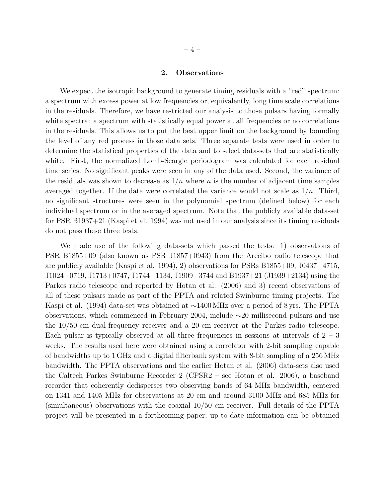#### 2. Observations

We expect the isotropic background to generate timing residuals with a "red" spectrum: a spectrum with excess power at low frequencies or, equivalently, long time scale correlations in the residuals. Therefore, we have restricted our analysis to those pulsars having formally white spectra: a spectrum with statistically equal power at all frequencies or no correlations in the residuals. This allows us to put the best upper limit on the background by bounding the level of any red process in those data sets. Three separate tests were used in order to determine the statistical properties of the data and to select data-sets that are statistically white. First, the normalized Lomb-Scargle periodogram was calculated for each residual time series. No significant peaks were seen in any of the data used. Second, the variance of the residuals was shown to decrease as  $1/n$  where n is the number of adjacent time samples averaged together. If the data were correlated the variance would not scale as  $1/n$ . Third, no significant structures were seen in the polynomial spectrum (defined below) for each individual spectrum or in the averaged spectrum. Note that the publicly available data-set for PSR B1937+21 (Kaspi et al. 1994) was not used in our analysis since its timing residuals do not pass these three tests.

We made use of the following data-sets which passed the tests: 1) observations of PSR B1855+09 (also known as PSR J1857+0943) from the Arecibo radio telescope that are publicly available (Kaspi et al. 1994), 2) observations for PSRs B1855+09, J0437−4715, J1024−0719, J1713+0747, J1744−1134, J1909−3744 and B1937+21 (J1939+2134) using the Parkes radio telescope and reported by Hotan et al. (2006) and 3) recent observations of all of these pulsars made as part of the PPTA and related Swinburne timing projects. The Kaspi et al. (1994) data-set was obtained at ∼1400 MHz over a period of 8 yrs. The PPTA observations, which commenced in February 2004, include ∼20 millisecond pulsars and use the 10/50-cm dual-frequency receiver and a 20-cm receiver at the Parkes radio telescope. Each pulsar is typically observed at all three frequencies in sessions at intervals of  $2 - 3$ weeks. The results used here were obtained using a correlator with 2-bit sampling capable of bandwidths up to 1 GHz and a digital filterbank system with 8-bit sampling of a 256 MHz bandwidth. The PPTA observations and the earlier Hotan et al. (2006) data-sets also used the Caltech Parkes Swinburne Recorder 2 (CPSR2 – see Hotan et al. 2006), a baseband recorder that coherently dedisperses two observing bands of 64 MHz bandwidth, centered on 1341 and 1405 MHz for observations at 20 cm and around 3100 MHz and 685 MHz for (simultaneous) observations with the coaxial 10/50 cm receiver. Full details of the PPTA project will be presented in a forthcoming paper; up-to-date information can be obtained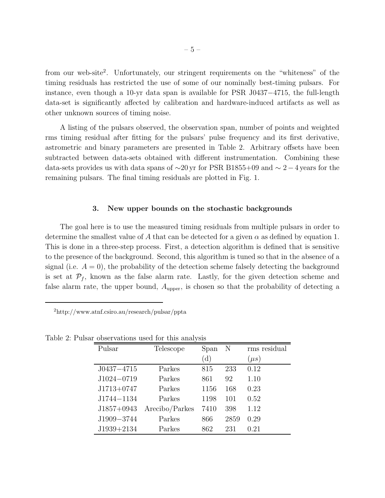from our web-site<sup>2</sup>. Unfortunately, our stringent requirements on the "whiteness" of the timing residuals has restricted the use of some of our nominally best-timing pulsars. For instance, even though a 10-yr data span is available for PSR J0437−4715, the full-length data-set is significantly affected by calibration and hardware-induced artifacts as well as other unknown sources of timing noise.

A listing of the pulsars observed, the observation span, number of points and weighted rms timing residual after fitting for the pulsars' pulse frequency and its first derivative, astrometric and binary parameters are presented in Table 2. Arbitrary offsets have been subtracted between data-sets obtained with different instrumentation. Combining these data-sets provides us with data spans of  $\sim$ 20 yr for PSR B1855+09 and  $\sim$  2−4 years for the remaining pulsars. The final timing residuals are plotted in Fig. 1.

#### 3. New upper bounds on the stochastic backgrounds

The goal here is to use the measured timing residuals from multiple pulsars in order to determine the smallest value of A that can be detected for a given  $\alpha$  as defined by equation 1. This is done in a three-step process. First, a detection algorithm is defined that is sensitive to the presence of the background. Second, this algorithm is tuned so that in the absence of a signal (i.e.  $A = 0$ ), the probability of the detection scheme falsely detecting the background is set at  $\mathcal{P}_f$ , known as the false alarm rate. Lastly, for the given detection scheme and false alarm rate, the upper bound,  $A_{\text{upper}}$ , is chosen so that the probability of detecting a

| $^{2}$ http://www.atnf.csiro.au/research/pulsar/ppta |  |  |
|------------------------------------------------------|--|--|
|                                                      |  |  |

| Pulsar         | Telescope      | Span | N    | rms residual |
|----------------|----------------|------|------|--------------|
|                |                | (d)  |      | $(\mu s)$    |
| $J0437 - 4715$ | Parkes         | 815  | 233  | 0.12         |
| $J1024 - 0719$ | Parkes         | 861  | 92   | 1.10         |
| $J1713+0747$   | Parkes         | 1156 | 168  | 0.23         |
| $J1744 - 1134$ | Parkes         | 1198 | 101  | 0.52         |
| $J1857+0943$   | Arecibo/Parkes | 7410 | 398  | 1.12         |
| J1909-3744     | Parkes         | 866  | 2859 | 0.29         |
| $J1939+2134$   | Parkes         | 862  | 231  | 0.21         |

Table 2: Pulsar observations used for this analysis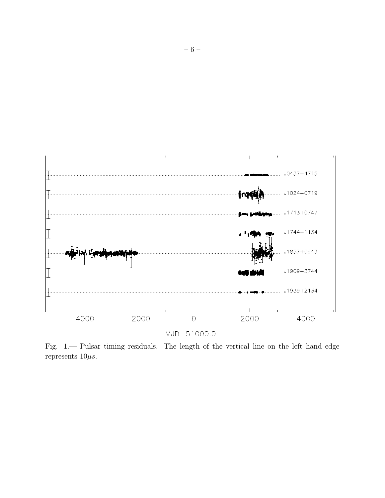

Fig. 1.— Pulsar timing residuals. The length of the vertical line on the left hand edge represents  $10\mu s$ .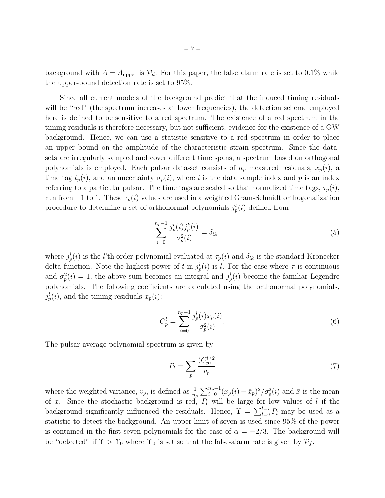background with  $A = A_{\text{upper}}$  is  $\mathcal{P}_d$ . For this paper, the false alarm rate is set to 0.1% while the upper-bound detection rate is set to 95%.

Since all current models of the background predict that the induced timing residuals will be "red" (the spectrum increases at lower frequencies), the detection scheme employed here is defined to be sensitive to a red spectrum. The existence of a red spectrum in the timing residuals is therefore necessary, but not sufficient, evidence for the existence of a GW background. Hence, we can use a statistic sensitive to a red spectrum in order to place an upper bound on the amplitude of the characteristic strain spectrum. Since the datasets are irregularly sampled and cover different time spans, a spectrum based on orthogonal polynomials is employed. Each pulsar data-set consists of  $n_p$  measured residuals,  $x_p(i)$ , a time tag  $t_p(i)$ , and an uncertainty  $\sigma_p(i)$ , where i is the data sample index and p is an index referring to a particular pulsar. The time tags are scaled so that normalized time tags,  $\tau_p(i)$ , run from  $-1$  to 1. These  $\tau_p(i)$  values are used in a weighted Gram-Schmidt orthogonalization procedure to determine a set of orthonormal polynomials  $j_p^l(i)$  defined from

$$
\sum_{i=0}^{n_p-1} \frac{j_p^l(i)j_p^k(i)}{\sigma_p^2(i)} = \delta_{lk} \tag{5}
$$

where  $j_p^l(i)$  is the *l*'th order polynomial evaluated at  $\tau_p(i)$  and  $\delta_{lk}$  is the standard Kronecker delta function. Note the highest power of t in  $j_p^l(i)$  is l. For the case where  $\tau$  is continuous and  $\sigma_p^2(i) = 1$ , the above sum becomes an integral and  $j_p^l(i)$  become the familiar Legendre polynomials. The following coefficients are calculated using the orthonormal polynomials,  $j_p^l(i)$ , and the timing residuals  $x_p(i)$ :

$$
C_p^l = \sum_{i=0}^{n_p - 1} \frac{j_p^l(i)x_p(i)}{\sigma_p^2(i)}.
$$
\n(6)

The pulsar average polynomial spectrum is given by

$$
P_l = \sum_p \frac{(C_p^l)^2}{v_p} \tag{7}
$$

where the weighted variance,  $v_p$ , is defined as  $\frac{1}{n_p} \sum_{i=0}^{n_p-1} (x_p(i) - \bar{x}_p)^2 / \sigma_p^2(i)$  and  $\bar{x}$  is the mean of x. Since the stochastic background is red,  $P_l$  will be large for low values of l if the background significantly influenced the residuals. Hence,  $\Upsilon = \sum_{l=0}^{l=7} P_l$  may be used as a statistic to detect the background. An upper limit of seven is used since 95% of the power is contained in the first seven polynomials for the case of  $\alpha = -2/3$ . The background will be "detected" if  $\Upsilon > \Upsilon_0$  where  $\Upsilon_0$  is set so that the false-alarm rate is given by  $\mathcal{P}_f$ .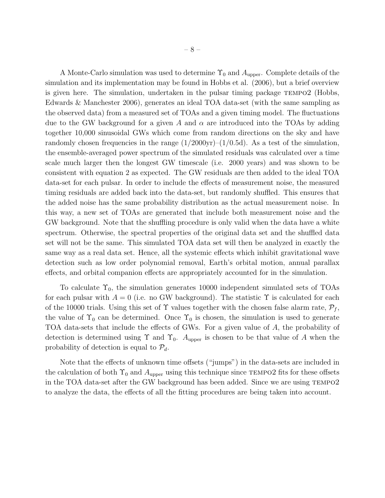A Monte-Carlo simulation was used to determine  $\Upsilon_0$  and  $A_{\text{upper}}$ . Complete details of the simulation and its implementation may be found in Hobbs et al. (2006), but a brief overview is given here. The simulation, undertaken in the pulsar timing package tempo2 (Hobbs, Edwards & Manchester 2006), generates an ideal TOA data-set (with the same sampling as the observed data) from a measured set of TOAs and a given timing model. The fluctuations due to the GW background for a given A and  $\alpha$  are introduced into the TOAs by adding together 10,000 sinusoidal GWs which come from random directions on the sky and have randomly chosen frequencies in the range  $(1/2000yr)-(1/0.5d)$ . As a test of the simulation, the ensemble-averaged power spectrum of the simulated residuals was calculated over a time scale much larger then the longest GW timescale (i.e. 2000 years) and was shown to be consistent with equation 2 as expected. The GW residuals are then added to the ideal TOA data-set for each pulsar. In order to include the effects of measurement noise, the measured timing residuals are added back into the data-set, but randomly shuffled. This ensures that the added noise has the same probability distribution as the actual measurement noise. In this way, a new set of TOAs are generated that include both measurement noise and the GW background. Note that the shuffling procedure is only valid when the data have a white spectrum. Otherwise, the spectral properties of the original data set and the shuffled data set will not be the same. This simulated TOA data set will then be analyzed in exactly the same way as a real data set. Hence, all the systemic effects which inhibit gravitational wave detection such as low order polynomial removal, Earth's orbital motion, annual parallax effects, and orbital companion effects are appropriately accounted for in the simulation.

To calculate  $\Upsilon_0$ , the simulation generates 10000 independent simulated sets of TOAs for each pulsar with  $A = 0$  (i.e. no GW background). The statistic  $\Upsilon$  is calculated for each of the 10000 trials. Using this set of  $\Upsilon$  values together with the chosen false alarm rate,  $\mathcal{P}_f$ , the value of  $\Upsilon_0$  can be determined. Once  $\Upsilon_0$  is chosen, the simulation is used to generate TOA data-sets that include the effects of GWs. For a given value of A, the probability of detection is determined using  $\Upsilon$  and  $\Upsilon_0$ .  $A_{\text{upper}}$  is chosen to be that value of A when the probability of detection is equal to  $\mathcal{P}_d$ .

Note that the effects of unknown time offsets ("jumps") in the data-sets are included in the calculation of both  $\Upsilon_0$  and  $A_{\text{upper}}$  using this technique since TEMPO2 fits for these offsets in the TOA data-set after the GW background has been added. Since we are using tempo2 to analyze the data, the effects of all the fitting procedures are being taken into account.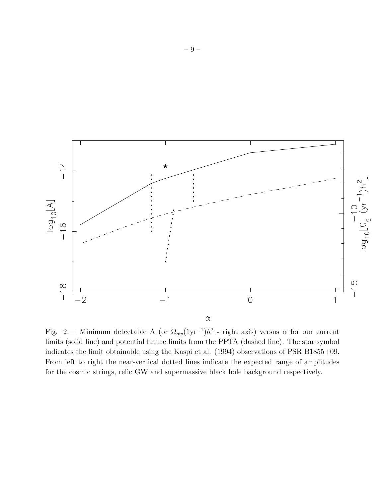

Fig. 2.— Minimum detectable A (or  $\Omega_{gw}(1yr^{-1})h^2$  - right axis) versus  $\alpha$  for our current limits (solid line) and potential future limits from the PPTA (dashed line). The star symbol indicates the limit obtainable using the Kaspi et al. (1994) observations of PSR B1855+09. From left to right the near-vertical dotted lines indicate the expected range of amplitudes for the cosmic strings, relic GW and supermassive black hole background respectively.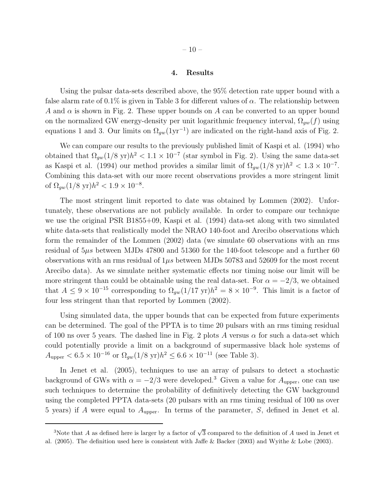#### 4. Results

Using the pulsar data-sets described above, the 95% detection rate upper bound with a false alarm rate of  $0.1\%$  is given in Table 3 for different values of  $\alpha$ . The relationship between A and  $\alpha$  is shown in Fig. 2. These upper bounds on A can be converted to an upper bound on the normalized GW energy-density per unit logarithmic frequency interval,  $\Omega_{gw}(f)$  using equations 1 and 3. Our limits on  $\Omega_{gw}(1yr^{-1})$  are indicated on the right-hand axis of Fig. 2.

We can compare our results to the previously published limit of Kaspi et al. (1994) who obtained that  $\Omega_{gw}(1/8 \text{ yr})h^2 < 1.1 \times 10^{-7}$  (star symbol in Fig. 2). Using the same data-set as Kaspi et al. (1994) our method provides a similar limit of  $\Omega_{gw}(1/8 \text{ yr})h^2 < 1.3 \times 10^{-7}$ . Combining this data-set with our more recent observations provides a more stringent limit of  $\Omega_{gw}(1/8 \text{ yr})h^2 < 1.9 \times 10^{-8}$ .

The most stringent limit reported to date was obtained by Lommen (2002). Unfortunately, these observations are not publicly available. In order to compare our technique we use the original PSR B1855+09, Kaspi et al. (1994) data-set along with two simulated white data-sets that realistically model the NRAO 140-foot and Arecibo observations which form the remainder of the Lommen (2002) data (we simulate 60 observations with an rms residual of  $5\mu s$  between MJDs 47800 and 51360 for the 140-foot telescope and a further 60 observations with an rms residual of  $1\mu s$  between MJDs 50783 and 52609 for the most recent Arecibo data). As we simulate neither systematic effects nor timing noise our limit will be more stringent than could be obtainable using the real data-set. For  $\alpha = -2/3$ , we obtained that  $A \leq 9 \times 10^{-15}$  corresponding to  $\Omega_{gw}(1/17 \text{ yr})h^2 = 8 \times 10^{-9}$ . This limit is a factor of four less stringent than that reported by Lommen (2002).

Using simulated data, the upper bounds that can be expected from future experiments can be determined. The goal of the PPTA is to time 20 pulsars with an rms timing residual of 100 ns over 5 years. The dashed line in Fig. 2 plots A versus  $\alpha$  for such a data-set which could potentially provide a limit on a background of supermassive black hole systems of  $A_{\text{upper}} < 6.5 \times 10^{-16} \text{ or } \Omega_{gw}(1/8 \text{ yr})h^2 \leq 6.6 \times 10^{-11} \text{ (see Table 3)}.$ 

In Jenet et al. (2005), techniques to use an array of pulsars to detect a stochastic background of GWs with  $\alpha = -2/3$  were developed.<sup>3</sup> Given a value for  $A_{\text{upper}}$ , one can use such techniques to determine the probability of definitively detecting the GW background using the completed PPTA data-sets (20 pulsars with an rms timing residual of 100 ns over 5 years) if A were equal to  $A_{\text{upper}}$ . In terms of the parameter, S, defined in Jenet et al.

<sup>&</sup>lt;sup>3</sup>Note that A as defined here is larger by a factor of  $\sqrt{3}$  compared to the definition of A used in Jenet et al. (2005). The definition used here is consistent with Jaffe & Backer (2003) and Wyithe & Lobe (2003).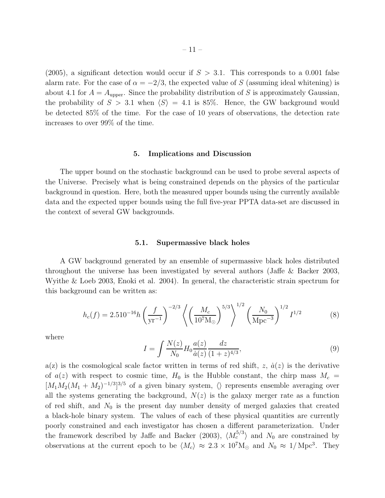(2005), a significant detection would occur if  $S > 3.1$ . This corresponds to a 0.001 false alarm rate. For the case of  $\alpha = -2/3$ , the expected value of S (assuming ideal whitening) is about 4.1 for  $A = A_{\text{upper}}$ . Since the probability distribution of S is approximately Gaussian, the probability of  $S > 3.1$  when  $\langle S \rangle = 4.1$  is 85%. Hence, the GW background would be detected 85% of the time. For the case of 10 years of observations, the detection rate increases to over 99% of the time.

#### 5. Implications and Discussion

The upper bound on the stochastic background can be used to probe several aspects of the Universe. Precisely what is being constrained depends on the physics of the particular background in question. Here, both the measured upper bounds using the currently available data and the expected upper bounds using the full five-year PPTA data-set are discussed in the context of several GW backgrounds.

#### 5.1. Supermassive black holes

A GW background generated by an ensemble of supermassive black holes distributed throughout the universe has been investigated by several authors (Jaffe & Backer 2003, Wyithe & Loeb 2003, Enoki et al. 2004). In general, the characteristic strain spectrum for this background can be written as:

$$
h_c(f) = 2.510^{-16} h \left(\frac{f}{\text{yr}^{-1}}\right)^{-2/3} \left\langle \left(\frac{M_c}{10^7 \text{M}_\odot}\right)^{5/3} \right\rangle^{1/2} \left(\frac{N_0}{\text{Mpc}^{-3}}\right)^{1/2} I^{1/2} \tag{8}
$$

where

$$
I = \int \frac{N(z)}{N_0} H_0 \frac{a(z)}{\dot{a}(z)} \frac{dz}{(1+z)^{4/3}},\tag{9}
$$

 $a(z)$  is the cosmological scale factor written in terms of red shift, z,  $\dot{a}(z)$  is the derivative of  $a(z)$  with respect to cosmic time,  $H_0$  is the Hubble constant, the chirp mass  $M_c =$  $[M_1M_2(M_1 + M_2)^{-1/3}]^{3/5}$  of a given binary system,  $\langle \rangle$  represents ensemble averaging over all the systems generating the background,  $N(z)$  is the galaxy merger rate as a function of red shift, and  $N_0$  is the present day number density of merged galaxies that created a black-hole binary system. The values of each of these physical quantities are currently poorly constrained and each investigator has chosen a different parameterization. Under the framework described by Jaffe and Backer (2003),  $\langle M_c^{5/3} \rangle$  and  $N_0$  are constrained by observations at the current epoch to be  $\langle M_c \rangle \approx 2.3 \times 10^7 \text{M}_{\odot}$  and  $N_0 \approx 1/\text{Mpc}^3$ . They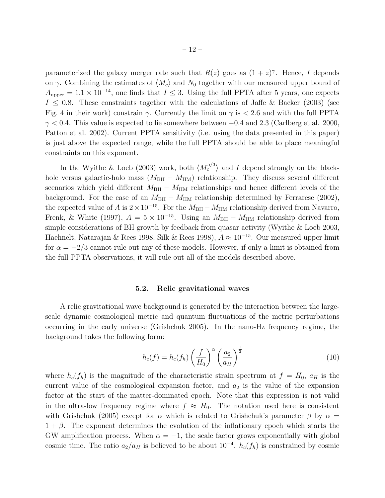parameterized the galaxy merger rate such that  $R(z)$  goes as  $(1 + z)^{\gamma}$ . Hence, I depends on  $\gamma$ . Combining the estimates of  $\langle M_c \rangle$  and  $N_0$  together with our measured upper bound of  $A_{\text{upper}} = 1.1 \times 10^{-14}$ , one finds that  $I \leq 3$ . Using the full PPTA after 5 years, one expects  $I \leq 0.8$ . These constraints together with the calculations of Jaffe & Backer (2003) (see Fig. 4 in their work) constrain  $\gamma$ . Currently the limit on  $\gamma$  is  $\epsilon$  2.6 and with the full PPTA  $\gamma$  < 0.4. This value is expected to lie somewhere between  $-0.4$  and 2.3 (Carlberg et al. 2000, Patton et al. 2002). Current PPTA sensitivity (i.e. using the data presented in this paper) is just above the expected range, while the full PPTA should be able to place meaningful constraints on this exponent.

In the Wyithe & Loeb (2003) work, both  $\langle M_c^{5/3} \rangle$  and I depend strongly on the blackhole versus galactic-halo mass ( $M_{BH} - M_{HM}$ ) relationship. They discuss several different scenarios which yield different  $M_{\text{BH}} - M_{\text{HM}}$  relationships and hence different levels of the background. For the case of an  $M_{\text{BH}} - M_{\text{HM}}$  relationship determined by Ferrarese (2002), the expected value of A is  $2 \times 10^{-15}$ . For the  $M_{\rm BH} - M_{\rm HM}$  relationship derived from Navarro, Frenk, & White (1997),  $A = 5 \times 10^{-15}$ . Using an  $M_{\text{BH}} - M_{\text{HM}}$  relationship derived from simple considerations of BH growth by feedback from quasar activity (Wyithe & Loeb 2003, Haehnelt, Natarajan & Rees 1998, Silk & Rees 1998),  $A \approx 10^{-15}$ . Our measured upper limit for  $\alpha = -2/3$  cannot rule out any of these models. However, if only a limit is obtained from the full PPTA observations, it will rule out all of the models described above.

#### 5.2. Relic gravitational waves

A relic gravitational wave background is generated by the interaction between the largescale dynamic cosmological metric and quantum fluctuations of the metric perturbations occurring in the early universe (Grishchuk 2005). In the nano-Hz frequency regime, the background takes the following form:

$$
h_c(f) = h_c(f_h) \left(\frac{f}{H_0}\right)^{\alpha} \left(\frac{a_2}{a_H}\right)^{\frac{1}{2}}
$$
\n(10)

where  $h_c(f_h)$  is the magnitude of the characteristic strain spectrum at  $f = H_0$ ,  $a_H$  is the current value of the cosmological expansion factor, and  $a_2$  is the value of the expansion factor at the start of the matter-dominated epoch. Note that this expression is not valid in the ultra-low frequency regime where  $f \approx H_0$ . The notation used here is consistent with Grishchuk (2005) except for  $\alpha$  which is related to Grishchuk's parameter  $\beta$  by  $\alpha =$  $1 + \beta$ . The exponent determines the evolution of the inflationary epoch which starts the GW amplification process. When  $\alpha = -1$ , the scale factor grows exponentially with global cosmic time. The ratio  $a_2/a_H$  is believed to be about  $10^{-4}$ .  $h_c(f_h)$  is constrained by cosmic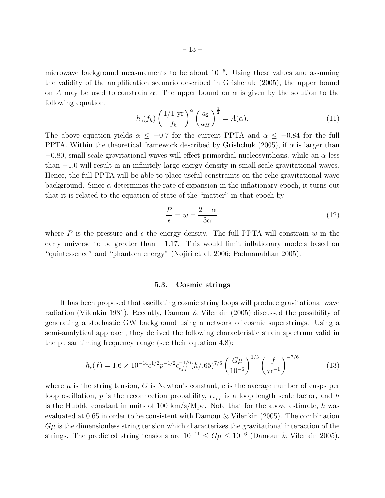microwave background measurements to be about 10<sup>−</sup><sup>5</sup> . Using these values and assuming the validity of the amplification scenario described in Grishchuk (2005), the upper bound on A may be used to constrain  $\alpha$ . The upper bound on  $\alpha$  is given by the solution to the following equation:

$$
h_c(f_h) \left(\frac{1/1 \text{ yr}}{f_h}\right)^{\alpha} \left(\frac{a_2}{a_H}\right)^{\frac{1}{2}} = A(\alpha). \tag{11}
$$

The above equation yields  $\alpha \leq -0.7$  for the current PPTA and  $\alpha \leq -0.84$  for the full PPTA. Within the theoretical framework described by Grishchuk (2005), if  $\alpha$  is larger than  $-0.80$ , small scale gravitational waves will effect primordial nucleosynthesis, while an  $\alpha$  less than −1.0 will result in an infinitely large energy density in small scale gravitational waves. Hence, the full PPTA will be able to place useful constraints on the relic gravitational wave background. Since  $\alpha$  determines the rate of expansion in the inflationary epoch, it turns out that it is related to the equation of state of the "matter" in that epoch by

$$
\frac{P}{\epsilon} = w = \frac{2 - \alpha}{3\alpha}.\tag{12}
$$

where P is the pressure and  $\epsilon$  the energy density. The full PPTA will constrain w in the early universe to be greater than  $-1.17$ . This would limit inflationary models based on "quintessence" and "phantom energy" (Nojiri et al. 2006; Padmanabhan 2005).

#### 5.3. Cosmic strings

It has been proposed that oscillating cosmic string loops will produce gravitational wave radiation (Vilenkin 1981). Recently, Damour & Vilenkin (2005) discussed the possibility of generating a stochastic GW background using a network of cosmic superstrings. Using a semi-analytical approach, they derived the following characteristic strain spectrum valid in the pulsar timing frequency range (see their equation 4.8):

$$
h_c(f) = 1.6 \times 10^{-14} c^{1/2} p^{-1/2} \epsilon_{eff}^{-1/6} (h/.65)^{7/6} \left(\frac{G\mu}{10^{-6}}\right)^{1/3} \left(\frac{f}{yr^{-1}}\right)^{-7/6} \tag{13}
$$

where  $\mu$  is the string tension, G is Newton's constant, c is the average number of cusps per loop oscillation, p is the reconnection probability,  $\epsilon_{eff}$  is a loop length scale factor, and h is the Hubble constant in units of 100 km/s/Mpc. Note that for the above estimate, h was evaluated at 0.65 in order to be consistent with Damour & Vilenkin (2005). The combination  $G\mu$  is the dimensionless string tension which characterizes the gravitational interaction of the strings. The predicted string tensions are  $10^{-11} \le G\mu \le 10^{-6}$  (Damour & Vilenkin 2005).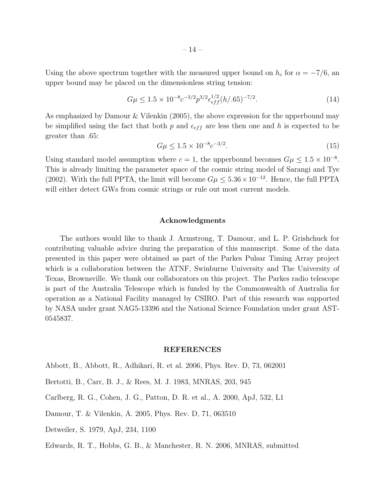$$
G\mu \le 1.5 \times 10^{-8} c^{-3/2} p^{3/2} \epsilon_{eff}^{1/2} (h/.65)^{-7/2}.
$$
 (14)

As emphasized by Damour & Vilenkin (2005), the above expression for the upperbound may be simplified using the fact that both p and  $\epsilon_{eff}$  are less then one and h is expected to be greater than .65:

$$
G\mu \le 1.5 \times 10^{-8} c^{-3/2}.
$$
\n(15)

Using standard model assumption where  $c = 1$ , the upperbound becomes  $G\mu \leq 1.5 \times 10^{-8}$ . This is already limiting the parameter space of the cosmic string model of Sarangi and Tye (2002). With the full PPTA, the limit will become  $G\mu \leq 5.36 \times 10^{-12}$ . Hence, the full PPTA will either detect GWs from cosmic strings or rule out most current models.

#### Acknowledgments

The authors would like to thank J. Armstrong, T. Damour, and L. P. Grishchuck for contributing valuable advice during the preparation of this manuscript. Some of the data presented in this paper were obtained as part of the Parkes Pulsar Timing Array project which is a collaboration between the ATNF, Swinburne University and The University of Texas, Brownsville. We thank our collaborators on this project. The Parkes radio telescope is part of the Australia Telescope which is funded by the Commonwealth of Australia for operation as a National Facility managed by CSIRO. Part of this research was supported by NASA under grant NAG5-13396 and the National Science Foundation under grant AST-0545837.

## REFERENCES

- Abbott, B., Abbott, R., Adhikari, R. et al. 2006, Phys. Rev. D, 73, 062001
- Bertotti, B., Carr, B. J., & Rees, M. J. 1983, MNRAS, 203, 945
- Carlberg, R. G., Cohen, J. G., Patton, D. R. et al., A. 2000, ApJ, 532, L1
- Damour, T. & Vilenkin, A. 2005, Phys. Rev. D, 71, 063510
- Detweiler, S. 1979, ApJ, 234, 1100

Edwards, R. T., Hobbs, G. B., & Manchester, R. N. 2006, MNRAS, submitted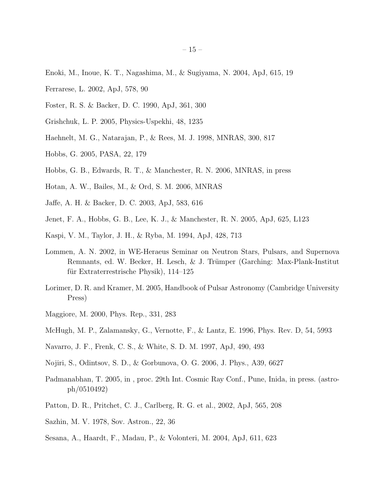- Enoki, M., Inoue, K. T., Nagashima, M., & Sugiyama, N. 2004, ApJ, 615, 19
- Ferrarese, L. 2002, ApJ, 578, 90
- Foster, R. S. & Backer, D. C. 1990, ApJ, 361, 300
- Grishchuk, L. P. 2005, Physics-Uspekhi, 48, 1235
- Haehnelt, M. G., Natarajan, P., & Rees, M. J. 1998, MNRAS, 300, 817
- Hobbs, G. 2005, PASA, 22, 179
- Hobbs, G. B., Edwards, R. T., & Manchester, R. N. 2006, MNRAS, in press
- Hotan, A. W., Bailes, M., & Ord, S. M. 2006, MNRAS
- Jaffe, A. H. & Backer, D. C. 2003, ApJ, 583, 616
- Jenet, F. A., Hobbs, G. B., Lee, K. J., & Manchester, R. N. 2005, ApJ, 625, L123
- Kaspi, V. M., Taylor, J. H., & Ryba, M. 1994, ApJ, 428, 713
- Lommen, A. N. 2002, in WE-Heraeus Seminar on Neutron Stars, Pulsars, and Supernova Remnants, ed. W. Becker, H. Lesch, & J. Trümper (Garching: Max-Plank-Institut für Extraterrestrische Physik),  $114-125$
- Lorimer, D. R. and Kramer, M. 2005, Handbook of Pulsar Astronomy (Cambridge University Press)
- Maggiore, M. 2000, Phys. Rep., 331, 283
- McHugh, M. P., Zalamansky, G., Vernotte, F., & Lantz, E. 1996, Phys. Rev. D, 54, 5993
- Navarro, J. F., Frenk, C. S., & White, S. D. M. 1997, ApJ, 490, 493
- Nojiri, S., Odintsov, S. D., & Gorbunova, O. G. 2006, J. Phys., A39, 6627
- Padmanabhan, T. 2005, in , proc. 29th Int. Cosmic Ray Conf., Pune, Inida, in press. (astroph/0510492)
- Patton, D. R., Pritchet, C. J., Carlberg, R. G. et al., 2002, ApJ, 565, 208
- Sazhin, M. V. 1978, Sov. Astron., 22, 36
- Sesana, A., Haardt, F., Madau, P., & Volonteri, M. 2004, ApJ, 611, 623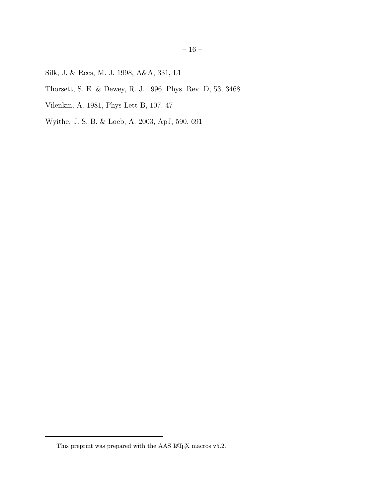- Silk, J. & Rees, M. J. 1998, A&A, 331, L1
- Thorsett, S. E. & Dewey, R. J. 1996, Phys. Rev. D, 53, 3468
- Vilenkin, A. 1981, Phys Lett B, 107, 47
- Wyithe, J. S. B. & Loeb, A. 2003, ApJ, 590, 691

This preprint was prepared with the AAS  $\rm L^2EX$  macros v5.2.